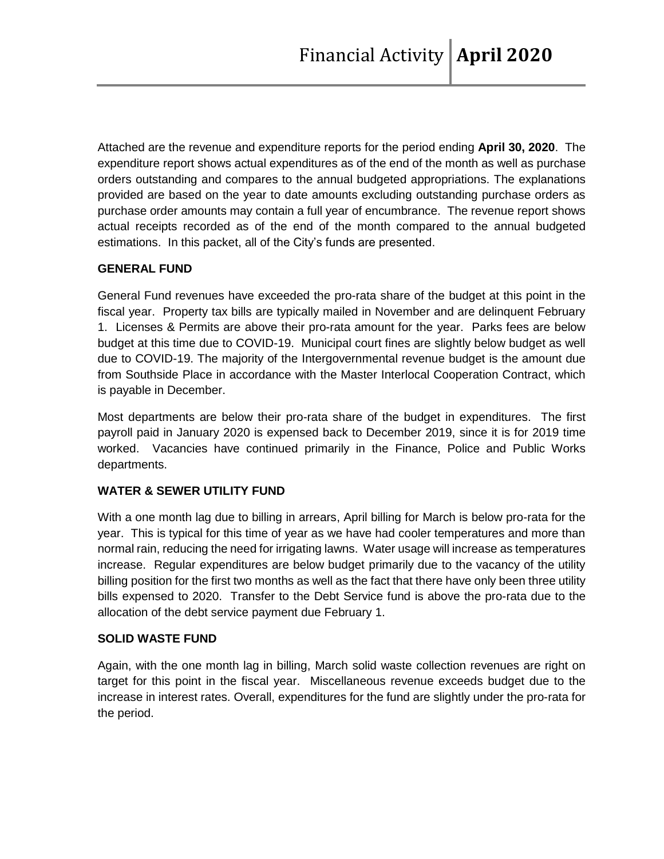Attached are the revenue and expenditure reports for the period ending **April 30, 2020**. The expenditure report shows actual expenditures as of the end of the month as well as purchase orders outstanding and compares to the annual budgeted appropriations. The explanations provided are based on the year to date amounts excluding outstanding purchase orders as purchase order amounts may contain a full year of encumbrance. The revenue report shows actual receipts recorded as of the end of the month compared to the annual budgeted estimations. In this packet, all of the City's funds are presented.

### **GENERAL FUND**

General Fund revenues have exceeded the pro-rata share of the budget at this point in the fiscal year. Property tax bills are typically mailed in November and are delinquent February 1. Licenses & Permits are above their pro-rata amount for the year. Parks fees are below budget at this time due to COVID-19. Municipal court fines are slightly below budget as well due to COVID-19. The majority of the Intergovernmental revenue budget is the amount due from Southside Place in accordance with the Master Interlocal Cooperation Contract, which is payable in December.

Most departments are below their pro-rata share of the budget in expenditures. The first payroll paid in January 2020 is expensed back to December 2019, since it is for 2019 time worked. Vacancies have continued primarily in the Finance, Police and Public Works departments.

# **WATER & SEWER UTILITY FUND**

With a one month lag due to billing in arrears, April billing for March is below pro-rata for the year. This is typical for this time of year as we have had cooler temperatures and more than normal rain, reducing the need for irrigating lawns. Water usage will increase as temperatures increase. Regular expenditures are below budget primarily due to the vacancy of the utility billing position for the first two months as well as the fact that there have only been three utility bills expensed to 2020. Transfer to the Debt Service fund is above the pro-rata due to the allocation of the debt service payment due February 1.

### **SOLID WASTE FUND**

Again, with the one month lag in billing, March solid waste collection revenues are right on target for this point in the fiscal year. Miscellaneous revenue exceeds budget due to the increase in interest rates. Overall, expenditures for the fund are slightly under the pro-rata for the period.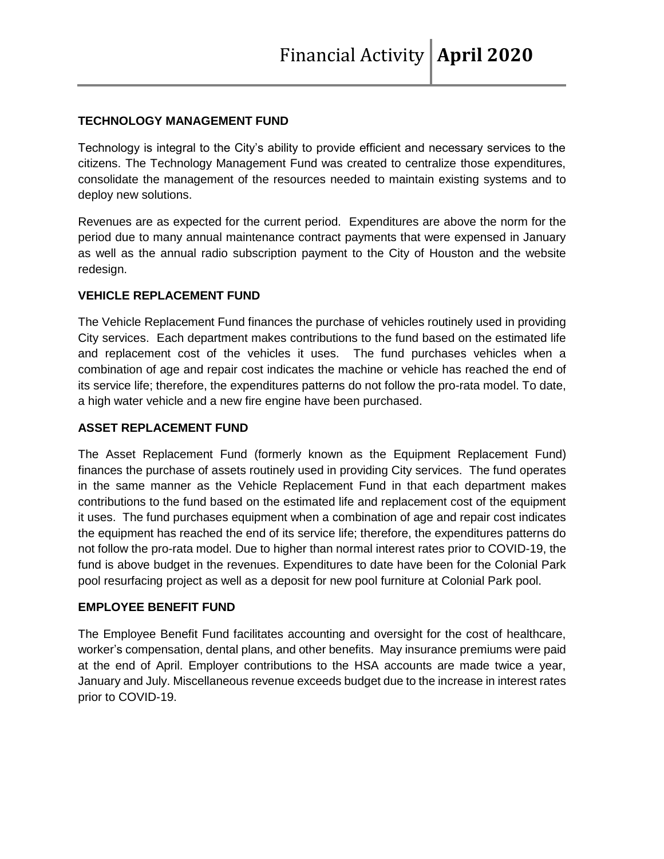# **TECHNOLOGY MANAGEMENT FUND**

Technology is integral to the City's ability to provide efficient and necessary services to the citizens. The Technology Management Fund was created to centralize those expenditures, consolidate the management of the resources needed to maintain existing systems and to deploy new solutions.

Revenues are as expected for the current period. Expenditures are above the norm for the period due to many annual maintenance contract payments that were expensed in January as well as the annual radio subscription payment to the City of Houston and the website redesign.

### **VEHICLE REPLACEMENT FUND**

The Vehicle Replacement Fund finances the purchase of vehicles routinely used in providing City services. Each department makes contributions to the fund based on the estimated life and replacement cost of the vehicles it uses. The fund purchases vehicles when a combination of age and repair cost indicates the machine or vehicle has reached the end of its service life; therefore, the expenditures patterns do not follow the pro-rata model. To date, a high water vehicle and a new fire engine have been purchased.

### **ASSET REPLACEMENT FUND**

The Asset Replacement Fund (formerly known as the Equipment Replacement Fund) finances the purchase of assets routinely used in providing City services. The fund operates in the same manner as the Vehicle Replacement Fund in that each department makes contributions to the fund based on the estimated life and replacement cost of the equipment it uses. The fund purchases equipment when a combination of age and repair cost indicates the equipment has reached the end of its service life; therefore, the expenditures patterns do not follow the pro-rata model. Due to higher than normal interest rates prior to COVID-19, the fund is above budget in the revenues. Expenditures to date have been for the Colonial Park pool resurfacing project as well as a deposit for new pool furniture at Colonial Park pool.

### **EMPLOYEE BENEFIT FUND**

The Employee Benefit Fund facilitates accounting and oversight for the cost of healthcare, worker's compensation, dental plans, and other benefits. May insurance premiums were paid at the end of April. Employer contributions to the HSA accounts are made twice a year, January and July. Miscellaneous revenue exceeds budget due to the increase in interest rates prior to COVID-19.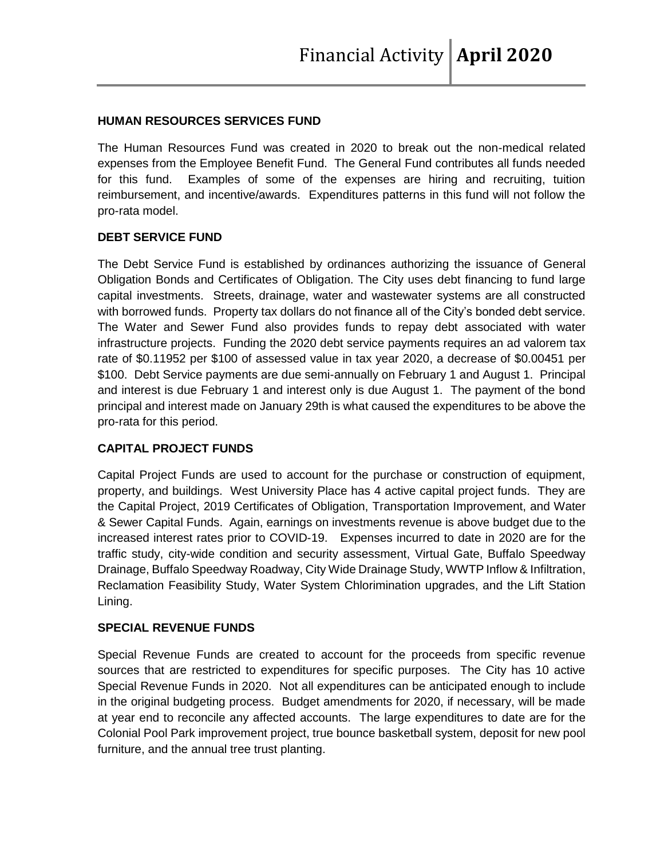#### **HUMAN RESOURCES SERVICES FUND**

The Human Resources Fund was created in 2020 to break out the non-medical related expenses from the Employee Benefit Fund. The General Fund contributes all funds needed for this fund. Examples of some of the expenses are hiring and recruiting, tuition reimbursement, and incentive/awards. Expenditures patterns in this fund will not follow the pro-rata model.

#### **DEBT SERVICE FUND**

The Debt Service Fund is established by ordinances authorizing the issuance of General Obligation Bonds and Certificates of Obligation. The City uses debt financing to fund large capital investments. Streets, drainage, water and wastewater systems are all constructed with borrowed funds. Property tax dollars do not finance all of the City's bonded debt service. The Water and Sewer Fund also provides funds to repay debt associated with water infrastructure projects. Funding the 2020 debt service payments requires an ad valorem tax rate of \$0.11952 per \$100 of assessed value in tax year 2020, a decrease of \$0.00451 per \$100. Debt Service payments are due semi-annually on February 1 and August 1. Principal and interest is due February 1 and interest only is due August 1. The payment of the bond principal and interest made on January 29th is what caused the expenditures to be above the pro-rata for this period.

### **CAPITAL PROJECT FUNDS**

Capital Project Funds are used to account for the purchase or construction of equipment, property, and buildings. West University Place has 4 active capital project funds. They are the Capital Project, 2019 Certificates of Obligation, Transportation Improvement, and Water & Sewer Capital Funds. Again, earnings on investments revenue is above budget due to the increased interest rates prior to COVID-19. Expenses incurred to date in 2020 are for the traffic study, city-wide condition and security assessment, Virtual Gate, Buffalo Speedway Drainage, Buffalo Speedway Roadway, City Wide Drainage Study, WWTP Inflow & Infiltration, Reclamation Feasibility Study, Water System Chlorimination upgrades, and the Lift Station Lining.

#### **SPECIAL REVENUE FUNDS**

Special Revenue Funds are created to account for the proceeds from specific revenue sources that are restricted to expenditures for specific purposes. The City has 10 active Special Revenue Funds in 2020. Not all expenditures can be anticipated enough to include in the original budgeting process. Budget amendments for 2020, if necessary, will be made at year end to reconcile any affected accounts. The large expenditures to date are for the Colonial Pool Park improvement project, true bounce basketball system, deposit for new pool furniture, and the annual tree trust planting.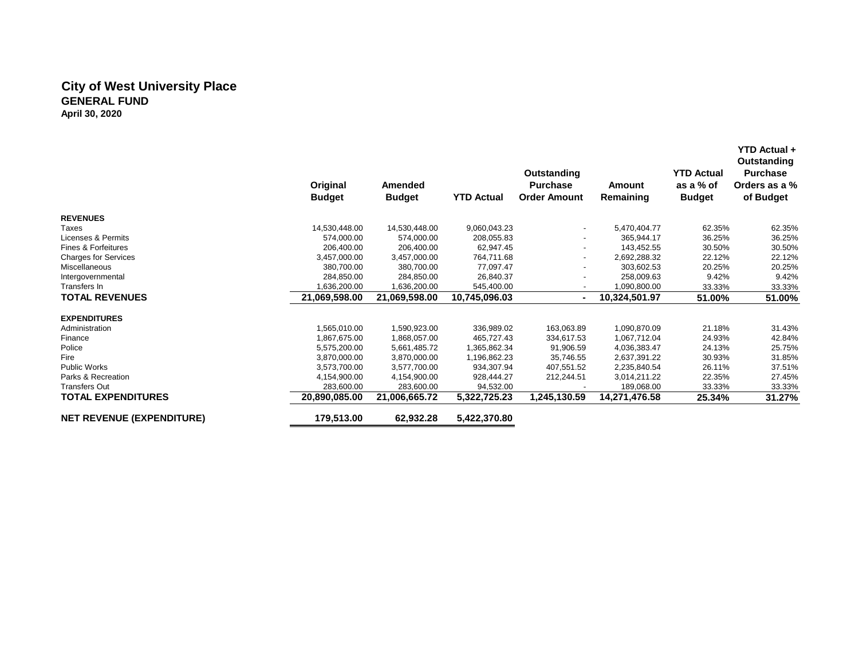#### **City of West University Place GENERAL FUND April 30, 2020**

|                                  | Original<br><b>Budget</b> | Amended<br><b>Budget</b> | <b>YTD Actual</b> | Outstanding<br><b>Purchase</b><br><b>Order Amount</b> | Amount<br>Remaining | <b>YTD Actual</b><br>as a % of<br><b>Budget</b> | Outstanding<br>Purchase<br>Orders as a %<br>of Budget |
|----------------------------------|---------------------------|--------------------------|-------------------|-------------------------------------------------------|---------------------|-------------------------------------------------|-------------------------------------------------------|
| <b>REVENUES</b>                  |                           |                          |                   |                                                       |                     |                                                 |                                                       |
| Taxes                            | 14,530,448.00             | 14,530,448.00            | 9,060,043.23      | $\overline{\phantom{a}}$                              | 5,470,404.77        | 62.35%                                          | 62.35%                                                |
| Licenses & Permits               | 574,000.00                | 574,000.00               | 208,055.83        |                                                       | 365,944.17          | 36.25%                                          | 36.25%                                                |
| Fines & Forfeitures              | 206.400.00                | 206.400.00               | 62,947.45         | $\overline{\phantom{a}}$                              | 143.452.55          | 30.50%                                          | 30.50%                                                |
| <b>Charges for Services</b>      | 3,457,000.00              | 3,457,000.00             | 764,711.68        | $\overline{\phantom{a}}$                              | 2,692,288.32        | 22.12%                                          | 22.12%                                                |
| <b>Miscellaneous</b>             | 380.700.00                | 380.700.00               | 77,097.47         |                                                       | 303,602.53          | 20.25%                                          | 20.25%                                                |
| Intergovernmental                | 284,850.00                | 284,850.00               | 26,840.37         | $\overline{\phantom{0}}$                              | 258,009.63          | 9.42%                                           | 9.42%                                                 |
| Transfers In                     | 1,636,200.00              | 1,636,200.00             | 545,400.00        | $\overline{\phantom{a}}$                              | 1,090,800.00        | 33.33%                                          | 33.33%                                                |
| <b>TOTAL REVENUES</b>            | 21,069,598.00             | 21,069,598.00            | 10,745,096.03     |                                                       | 10,324,501.97       | 51.00%                                          | 51.00%                                                |
| <b>EXPENDITURES</b>              |                           |                          |                   |                                                       |                     |                                                 |                                                       |
| Administration                   | 1,565,010.00              | 1,590,923.00             | 336,989.02        | 163,063.89                                            | 1,090,870.09        | 21.18%                                          | 31.43%                                                |
| Finance                          | 1,867,675.00              | 1,868,057.00             | 465,727.43        | 334,617.53                                            | 1,067,712.04        | 24.93%                                          | 42.84%                                                |
| Police                           | 5,575,200.00              | 5,661,485.72             | 1,365,862.34      | 91,906.59                                             | 4,036,383.47        | 24.13%                                          | 25.75%                                                |
| Fire                             | 3,870,000.00              | 3,870,000.00             | 1,196,862.23      | 35,746.55                                             | 2,637,391.22        | 30.93%                                          | 31.85%                                                |
| <b>Public Works</b>              | 3,573,700.00              | 3,577,700.00             | 934,307.94        | 407,551.52                                            | 2,235,840.54        | 26.11%                                          | 37.51%                                                |
| Parks & Recreation               | 4,154,900.00              | 4,154,900.00             | 928.444.27        | 212,244.51                                            | 3,014,211.22        | 22.35%                                          | 27.45%                                                |
| <b>Transfers Out</b>             | 283,600.00                | 283.600.00               | 94,532.00         |                                                       | 189,068.00          | 33.33%                                          | 33.33%                                                |
| <b>TOTAL EXPENDITURES</b>        | 20,890,085.00             | 21,006,665.72            | 5,322,725.23      | 1,245,130.59                                          | 14,271,476.58       | 25.34%                                          | 31.27%                                                |
| <b>NET REVENUE (EXPENDITURE)</b> | 179,513.00                | 62,932.28                | 5,422,370.80      |                                                       |                     |                                                 |                                                       |

 **YTD Actual +**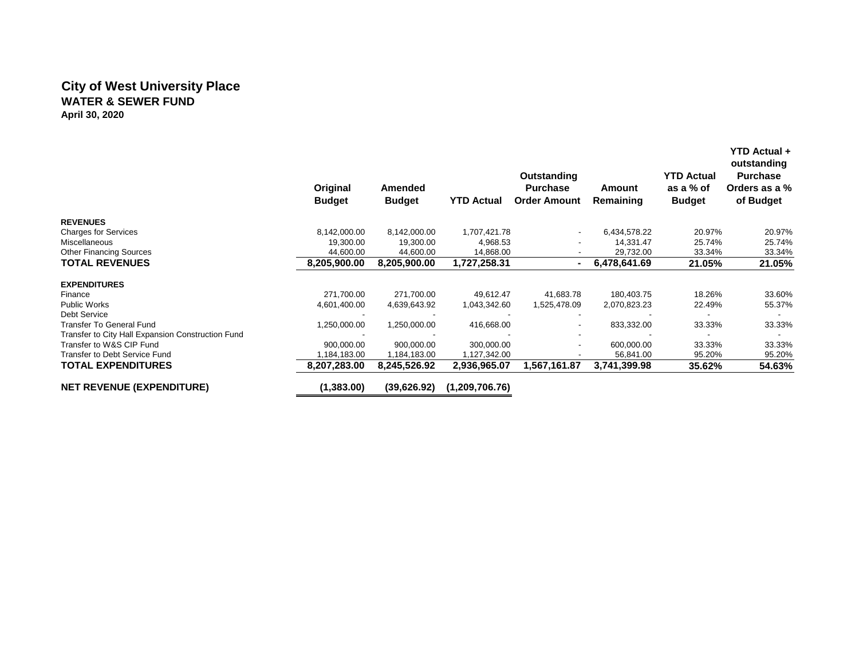# **City of West University Place WATER & SEWER FUND April 30, 2020**

|                                                   | Original<br><b>Budget</b> | Amended<br><b>Budget</b> | <b>YTD Actual</b> | Outstanding<br><b>Purchase</b><br><b>Order Amount</b> | Amount<br>Remaining | YTD Actual<br>as a % of<br><b>Budget</b> | <b>YTD Actual +</b><br>outstanding<br><b>Purchase</b><br>Orders as a %<br>of Budget |
|---------------------------------------------------|---------------------------|--------------------------|-------------------|-------------------------------------------------------|---------------------|------------------------------------------|-------------------------------------------------------------------------------------|
| <b>REVENUES</b>                                   |                           |                          |                   |                                                       |                     |                                          |                                                                                     |
| <b>Charges for Services</b>                       | 8,142,000.00              | 8,142,000.00             | 1,707,421.78      |                                                       | 6,434,578.22        | 20.97%                                   | 20.97%                                                                              |
| <b>Miscellaneous</b>                              | 19,300.00                 | 19,300.00                | 4,968.53          |                                                       | 14,331.47           | 25.74%                                   | 25.74%                                                                              |
| <b>Other Financing Sources</b>                    | 44,600.00                 | 44,600.00                | 14,868.00         |                                                       | 29,732.00           | 33.34%                                   | 33.34%                                                                              |
| <b>TOTAL REVENUES</b>                             | 8.205.900.00              | 8,205,900.00             | 1,727,258.31      | $\sim$                                                | 6,478,641.69        | 21.05%                                   | 21.05%                                                                              |
| <b>EXPENDITURES</b>                               |                           |                          |                   |                                                       |                     |                                          |                                                                                     |
| Finance                                           | 271,700.00                | 271,700.00               | 49,612.47         | 41,683.78                                             | 180,403.75          | 18.26%                                   | 33.60%                                                                              |
| <b>Public Works</b>                               | 4,601,400.00              | 4,639,643.92             | 1,043,342.60      | 1,525,478.09                                          | 2,070,823.23        | 22.49%                                   | 55.37%                                                                              |
| Debt Service                                      |                           |                          |                   |                                                       |                     |                                          |                                                                                     |
| <b>Transfer To General Fund</b>                   | 1,250,000.00              | 1,250,000.00             | 416,668.00        |                                                       | 833,332.00          | 33.33%                                   | 33.33%                                                                              |
| Transfer to City Hall Expansion Construction Fund |                           |                          |                   |                                                       |                     |                                          |                                                                                     |
| Transfer to W&S CIP Fund                          | 900,000.00                | 900,000.00               | 300,000.00        |                                                       | 600,000.00          | 33.33%                                   | 33.33%                                                                              |
| Transfer to Debt Service Fund                     | 184,183.00                | 1,184,183.00             | ,127,342.00       |                                                       | 56,841.00           | 95.20%                                   | 95.20%                                                                              |
| <b>TOTAL EXPENDITURES</b>                         | 8,207,283.00              | 8,245,526.92             | 2,936,965.07      | 567,161.87 ا                                          | 3,741,399.98        | 35.62%                                   | 54.63%                                                                              |
| <b>NET REVENUE (EXPENDITURE)</b>                  | (1,383.00)                | (39.626.92)              | (1,209,706.76)    |                                                       |                     |                                          |                                                                                     |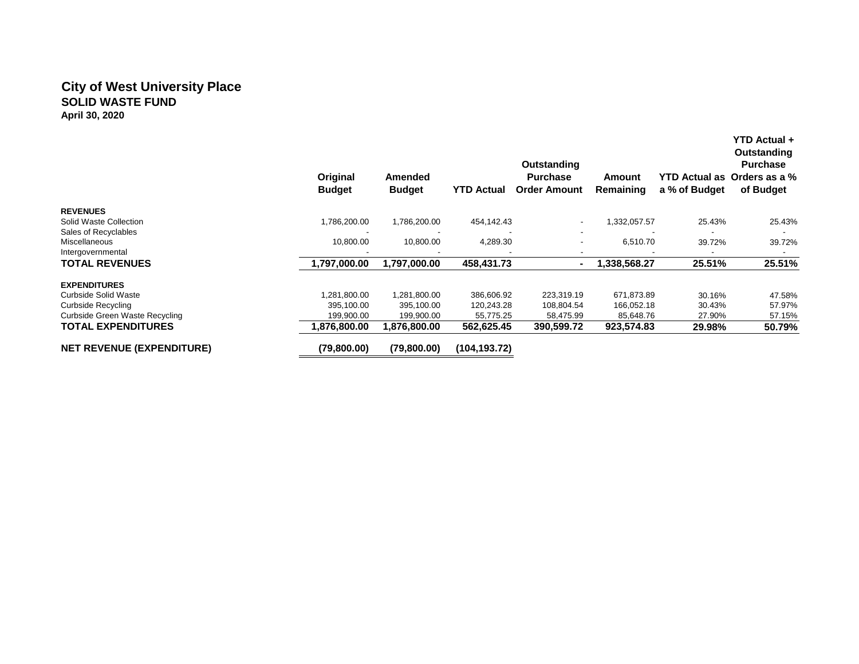### **City of West University Place SOLID WASTE FUND April 30, 2020**

|                                       | Original<br><b>Budget</b> | Amended<br><b>Budget</b> | <b>YTD Actual</b> | Outstanding<br><b>Purchase</b><br><b>Order Amount</b> | Amount<br><b>Remaining</b> | <b>YTD Actual as</b><br>a % of Budget | YTD Actual +<br>Outstanding<br><b>Purchase</b><br>Orders as a %<br>of Budget |
|---------------------------------------|---------------------------|--------------------------|-------------------|-------------------------------------------------------|----------------------------|---------------------------------------|------------------------------------------------------------------------------|
| <b>REVENUES</b>                       |                           |                          |                   |                                                       |                            |                                       |                                                                              |
| Solid Waste Collection                | 1,786,200.00              | 1,786,200.00             | 454,142.43        | ٠                                                     | 1,332,057.57               | 25.43%                                | 25.43%                                                                       |
| Sales of Recyclables<br>Miscellaneous | 10,800.00                 | 10,800.00                | 4,289.30          |                                                       | 6,510.70                   |                                       |                                                                              |
| Intergovernmental                     |                           |                          |                   | $\overline{\phantom{a}}$                              |                            | 39.72%                                | 39.72%                                                                       |
| <b>TOTAL REVENUES</b>                 | 1,797,000.00              | 1,797,000.00             | 458,431.73        |                                                       | 1,338,568.27               | 25.51%                                | 25.51%                                                                       |
| <b>EXPENDITURES</b>                   |                           |                          |                   |                                                       |                            |                                       |                                                                              |
| Curbside Solid Waste                  | 1.281.800.00              | 1,281,800.00             | 386,606.92        | 223,319.19                                            | 671.873.89                 | 30.16%                                | 47.58%                                                                       |
| Curbside Recycling                    | 395,100.00                | 395,100.00               | 120,243.28        | 108,804.54                                            | 166,052.18                 | 30.43%                                | 57.97%                                                                       |
| Curbside Green Waste Recycling        | 199,900.00                | 199,900.00               | 55,775.25         | 58,475.99                                             | 85,648.76                  | 27.90%                                | 57.15%                                                                       |
| <b>TOTAL EXPENDITURES</b>             | 1,876,800.00              | 1,876,800.00             | 562,625.45        | 390,599.72                                            | 923,574.83                 | 29.98%                                | 50.79%                                                                       |
| <b>NET REVENUE (EXPENDITURE)</b>      | (79,800.00)               | (79,800.00)              | (104, 193.72)     |                                                       |                            |                                       |                                                                              |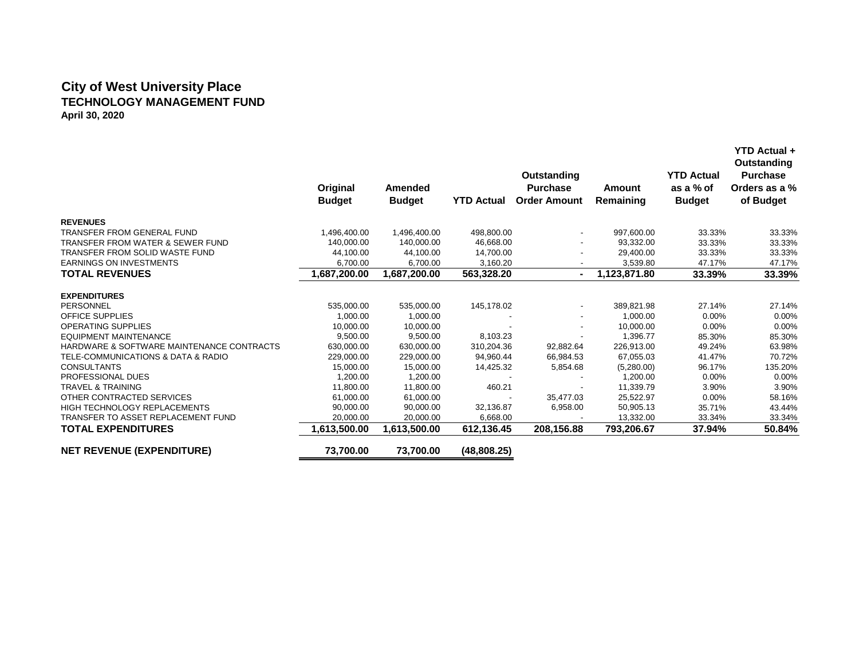# **City of West University Place TECHNOLOGY MANAGEMENT FUND April 30, 2020**

|                                             | Original<br><b>Budget</b> | Amended<br><b>Budget</b> | <b>YTD Actual</b> | <b>Outstanding</b><br><b>Purchase</b><br><b>Order Amount</b> | <b>Amount</b><br>Remaining | <b>YTD Actual</b><br>as a % of<br><b>Budget</b> | YTD Actual +<br>Outstanding<br><b>Purchase</b><br>Orders as a %<br>of Budget |
|---------------------------------------------|---------------------------|--------------------------|-------------------|--------------------------------------------------------------|----------------------------|-------------------------------------------------|------------------------------------------------------------------------------|
| <b>REVENUES</b>                             |                           |                          |                   |                                                              |                            |                                                 |                                                                              |
| <b>TRANSFER FROM GENERAL FUND</b>           | 1,496,400.00              | 1,496,400.00             | 498,800.00        | $\overline{\phantom{a}}$                                     | 997,600.00                 | 33.33%                                          | 33.33%                                                                       |
| <b>TRANSFER FROM WATER &amp; SEWER FUND</b> | 140,000.00                | 140,000.00               | 46,668.00         |                                                              | 93,332.00                  | 33.33%                                          | 33.33%                                                                       |
| TRANSFER FROM SOLID WASTE FUND              | 44,100.00                 | 44,100.00                | 14,700.00         |                                                              | 29,400.00                  | 33.33%                                          | 33.33%                                                                       |
| <b>EARNINGS ON INVESTMENTS</b>              | 6,700.00                  | 6,700.00                 | 3,160.20          |                                                              | 3,539.80                   | 47.17%                                          | 47.17%                                                                       |
| <b>TOTAL REVENUES</b>                       | 1,687,200.00              | 1,687,200.00             | 563,328.20        |                                                              | 1,123,871.80               | 33.39%                                          | 33.39%                                                                       |
| <b>EXPENDITURES</b>                         |                           |                          |                   |                                                              |                            |                                                 |                                                                              |
| PERSONNEL                                   | 535,000.00                | 535,000.00               | 145,178.02        |                                                              | 389,821.98                 | 27.14%                                          | 27.14%                                                                       |
| <b>OFFICE SUPPLIES</b>                      | 1,000.00                  | 1,000.00                 |                   |                                                              | 1,000.00                   | $0.00\%$                                        | 0.00%                                                                        |
| <b>OPERATING SUPPLIES</b>                   | 10,000.00                 | 10,000.00                |                   |                                                              | 10,000.00                  | $0.00\%$                                        | 0.00%                                                                        |
| <b>EQUIPMENT MAINTENANCE</b>                | 9,500.00                  | 9,500.00                 | 8,103.23          |                                                              | 1,396.77                   | 85.30%                                          | 85.30%                                                                       |
| HARDWARE & SOFTWARE MAINTENANCE CONTRACTS   | 630,000.00                | 630,000.00               | 310,204.36        | 92,882.64                                                    | 226,913.00                 | 49.24%                                          | 63.98%                                                                       |
| TELE-COMMUNICATIONS & DATA & RADIO          | 229,000.00                | 229,000.00               | 94,960.44         | 66,984.53                                                    | 67,055.03                  | 41.47%                                          | 70.72%                                                                       |
| <b>CONSULTANTS</b>                          | 15,000.00                 | 15,000.00                | 14,425.32         | 5,854.68                                                     | (5,280.00)                 | 96.17%                                          | 135.20%                                                                      |
| PROFESSIONAL DUES                           | 1,200.00                  | 1,200.00                 |                   |                                                              | 1,200.00                   | 0.00%                                           | 0.00%                                                                        |
| <b>TRAVEL &amp; TRAINING</b>                | 11,800.00                 | 11,800.00                | 460.21            |                                                              | 11,339.79                  | 3.90%                                           | 3.90%                                                                        |
| OTHER CONTRACTED SERVICES                   | 61,000.00                 | 61,000.00                |                   | 35,477.03                                                    | 25,522.97                  | 0.00%                                           | 58.16%                                                                       |
| <b>HIGH TECHNOLOGY REPLACEMENTS</b>         | 90,000.00                 | 90,000.00                | 32,136.87         | 6,958.00                                                     | 50,905.13                  | 35.71%                                          | 43.44%                                                                       |
| TRANSFER TO ASSET REPLACEMENT FUND          | 20,000.00                 | 20,000.00                | 6,668.00          |                                                              | 13,332.00                  | 33.34%                                          | 33.34%                                                                       |
| <b>TOTAL EXPENDITURES</b>                   | 1,613,500.00              | 1,613,500.00             | 612,136.45        | 208,156.88                                                   | 793,206.67                 | 37.94%                                          | 50.84%                                                                       |
| <b>NET REVENUE (EXPENDITURE)</b>            | 73,700.00                 | 73,700.00                | (48,808.25)       |                                                              |                            |                                                 |                                                                              |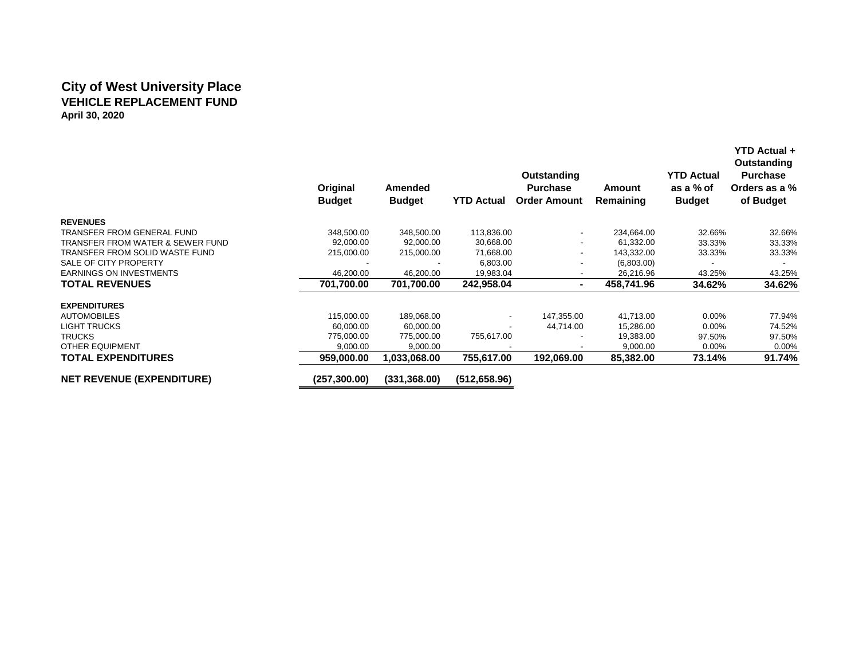# **City of West University Place VEHICLE REPLACEMENT FUND April 30, 2020**

|                                             | Original<br><b>Budget</b> | Amended<br><b>Budget</b> | <b>YTD Actual</b>        | Outstanding<br><b>Purchase</b><br><b>Order Amount</b> | Amount<br>Remaining | <b>YTD Actual</b><br>as a % of<br><b>Budget</b> | <b>YTD Actual +</b><br>Outstanding<br><b>Purchase</b><br>Orders as a %<br>of Budget |
|---------------------------------------------|---------------------------|--------------------------|--------------------------|-------------------------------------------------------|---------------------|-------------------------------------------------|-------------------------------------------------------------------------------------|
| <b>REVENUES</b>                             |                           |                          |                          |                                                       |                     |                                                 |                                                                                     |
| <b>TRANSFER FROM GENERAL FUND</b>           | 348,500.00                | 348,500.00               | 113,836.00               | $\overline{\phantom{a}}$                              | 234,664.00          | 32.66%                                          | 32.66%                                                                              |
| <b>TRANSFER FROM WATER &amp; SEWER FUND</b> | 92,000.00                 | 92,000.00                | 30,668.00                | $\overline{\phantom{a}}$                              | 61,332.00           | 33.33%                                          | 33.33%                                                                              |
| TRANSFER FROM SOLID WASTE FUND              | 215,000.00                | 215,000.00               | 71,668.00                | $\overline{\phantom{a}}$                              | 143,332.00          | 33.33%                                          | 33.33%                                                                              |
| SALE OF CITY PROPERTY                       |                           |                          | 6,803.00                 |                                                       | (6,803.00)          |                                                 |                                                                                     |
| <b>EARNINGS ON INVESTMENTS</b>              | 46,200.00                 | 46,200.00                | 19,983.04                |                                                       | 26,216.96           | 43.25%                                          | 43.25%                                                                              |
| <b>TOTAL REVENUES</b>                       | 701,700.00                | 701,700.00               | 242,958.04               | $\blacksquare$                                        | 458,741.96          | 34.62%                                          | 34.62%                                                                              |
| <b>EXPENDITURES</b>                         |                           |                          |                          |                                                       |                     |                                                 |                                                                                     |
| <b>AUTOMOBILES</b>                          | 115,000.00                | 189,068.00               | $\overline{\phantom{a}}$ | 147,355.00                                            | 41,713.00           | $0.00\%$                                        | 77.94%                                                                              |
| <b>LIGHT TRUCKS</b>                         | 60,000.00                 | 60,000.00                |                          | 44,714.00                                             | 15,286.00           | $0.00\%$                                        | 74.52%                                                                              |
| <b>TRUCKS</b>                               | 775,000.00                | 775,000.00               | 755,617.00               |                                                       | 19,383.00           | 97.50%                                          | 97.50%                                                                              |
| <b>OTHER EQUIPMENT</b>                      | 9,000.00                  | 9,000.00                 |                          |                                                       | 9,000.00            | 0.00%                                           | 0.00%                                                                               |
| <b>TOTAL EXPENDITURES</b>                   | 959,000.00                | 1,033,068.00             | 755,617.00               | 192,069.00                                            | 85,382.00           | 73.14%                                          | 91.74%                                                                              |
| <b>NET REVENUE (EXPENDITURE)</b>            | (257,300.00)              | (331, 368.00)            | (512, 658.96)            |                                                       |                     |                                                 |                                                                                     |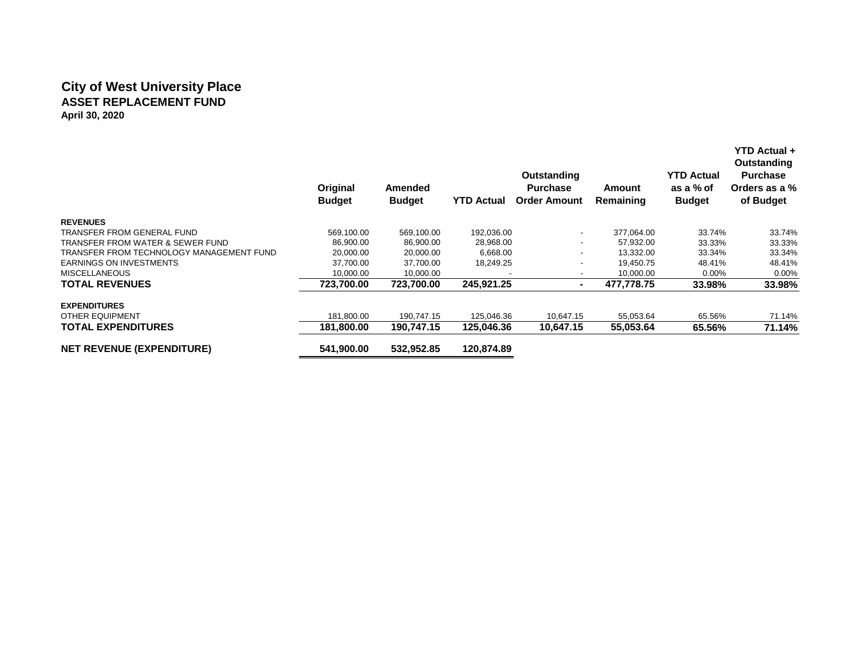# **City of West University Place ASSET REPLACEMENT FUND April 30, 2020**

|                                          | Original<br><b>Budget</b> | Amended<br><b>Budget</b> | <b>YTD Actual</b> | Outstanding<br><b>Purchase</b><br><b>Order Amount</b> | Amount<br>Remaining | <b>YTD Actual</b><br>as a % of<br><b>Budget</b> | <b>YTD Actual +</b><br>Outstanding<br><b>Purchase</b><br>Orders as a %<br>of Budget |
|------------------------------------------|---------------------------|--------------------------|-------------------|-------------------------------------------------------|---------------------|-------------------------------------------------|-------------------------------------------------------------------------------------|
| <b>REVENUES</b>                          |                           |                          |                   |                                                       |                     |                                                 |                                                                                     |
| TRANSFER FROM GENERAL FUND               | 569.100.00                | 569,100.00               | 192,036.00        | $\overline{\phantom{a}}$                              | 377.064.00          | 33.74%                                          | 33.74%                                                                              |
| TRANSFER FROM WATER & SEWER FUND         | 86,900.00                 | 86,900.00                | 28,968.00         | ٠                                                     | 57,932.00           | 33.33%                                          | 33.33%                                                                              |
| TRANSFER FROM TECHNOLOGY MANAGEMENT FUND | 20,000.00                 | 20,000.00                | 6,668.00          | $\overline{\phantom{a}}$                              | 13.332.00           | 33.34%                                          | 33.34%                                                                              |
| <b>EARNINGS ON INVESTMENTS</b>           | 37,700.00                 | 37,700.00                | 18,249.25         |                                                       | 19,450.75           | 48.41%                                          | 48.41%                                                                              |
| <b>MISCELLANEOUS</b>                     | 10,000.00                 | 10,000.00                |                   |                                                       | 10,000.00           | $0.00\%$                                        | 0.00%                                                                               |
| <b>TOTAL REVENUES</b>                    | 723,700.00                | 723,700.00               | 245,921.25        | $\blacksquare$                                        | 477,778.75          | 33.98%                                          | 33.98%                                                                              |
| <b>EXPENDITURES</b>                      |                           |                          |                   |                                                       |                     |                                                 |                                                                                     |
| <b>OTHER EQUIPMENT</b>                   | 181,800.00                | 190,747.15               | 125,046.36        | 10,647.15                                             | 55,053.64           | 65.56%                                          | 71.14%                                                                              |
| <b>TOTAL EXPENDITURES</b>                | 181.800.00                | 190.747.15               | 125.046.36        | 10.647.15                                             | 55,053.64           | 65.56%                                          | 71.14%                                                                              |
| <b>NET REVENUE (EXPENDITURE)</b>         | 541,900.00                | 532,952.85               | 120,874.89        |                                                       |                     |                                                 |                                                                                     |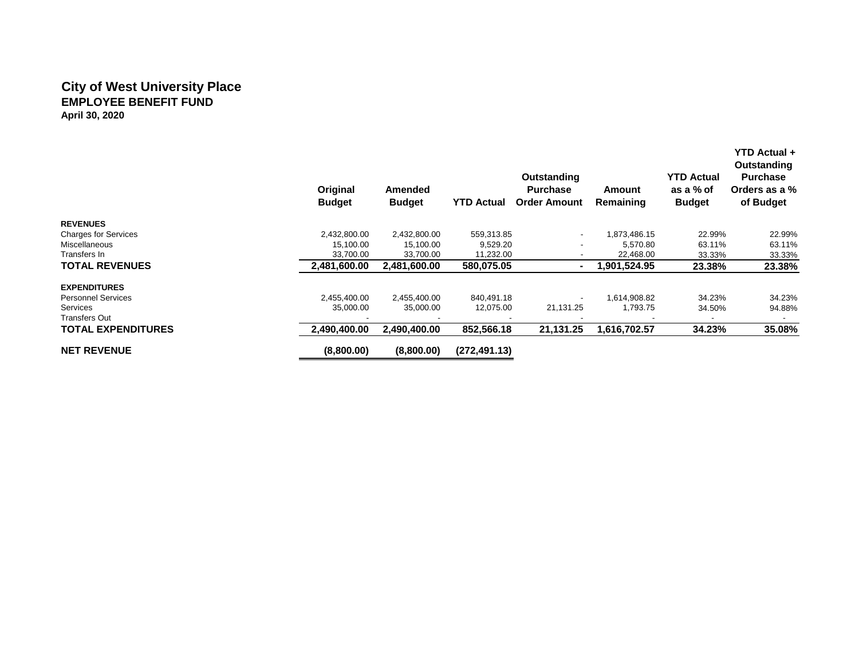### **City of West University Place EMPLOYEE BENEFIT FUND April 30, 2020**

|                             | Original<br><b>Budget</b> | Amended<br><b>Budget</b> | <b>YTD Actual</b> | Outstanding<br><b>Purchase</b><br><b>Order Amount</b> | Amount<br>Remaining | <b>YTD Actual</b><br>as a % of<br><b>Budget</b> | YTD Actual +<br>Outstanding<br><b>Purchase</b><br>Orders as a %<br>of Budget |
|-----------------------------|---------------------------|--------------------------|-------------------|-------------------------------------------------------|---------------------|-------------------------------------------------|------------------------------------------------------------------------------|
| <b>REVENUES</b>             |                           |                          |                   |                                                       |                     |                                                 |                                                                              |
| <b>Charges for Services</b> | 2,432,800.00              | 2,432,800.00             | 559,313.85        | $\overline{\phantom{a}}$                              | 1,873,486.15        | 22.99%                                          | 22.99%                                                                       |
| Miscellaneous               | 15,100.00                 | 15,100.00                | 9,529.20          |                                                       | 5,570.80            | 63.11%                                          | 63.11%                                                                       |
| Transfers In                | 33,700.00                 | 33,700.00                | 11,232.00         |                                                       | 22,468.00           | 33.33%                                          | 33.33%                                                                       |
| <b>TOTAL REVENUES</b>       | 2,481,600.00              | 2,481,600.00             | 580,075.05        | $\overline{\phantom{a}}$                              | 1.901.524.95        | 23.38%                                          | 23.38%                                                                       |
| <b>EXPENDITURES</b>         |                           |                          |                   |                                                       |                     |                                                 |                                                                              |
| <b>Personnel Services</b>   | 2,455,400.00              | 2,455,400.00             | 840,491.18        | $\overline{\phantom{a}}$                              | 1,614,908.82        | 34.23%                                          | 34.23%                                                                       |
| Services                    | 35,000.00                 | 35,000.00                | 12,075.00         | 21,131.25                                             | 1,793.75            | 34.50%                                          | 94.88%                                                                       |
| Transfers Out               |                           |                          |                   |                                                       |                     |                                                 |                                                                              |
| <b>TOTAL EXPENDITURES</b>   | 2,490,400.00              | 2,490,400.00             | 852,566.18        | 21,131.25                                             | 1,616,702.57        | 34.23%                                          | 35.08%                                                                       |
| <b>NET REVENUE</b>          | (8,800.00)                | (8,800.00)               | (272, 491.13)     |                                                       |                     |                                                 |                                                                              |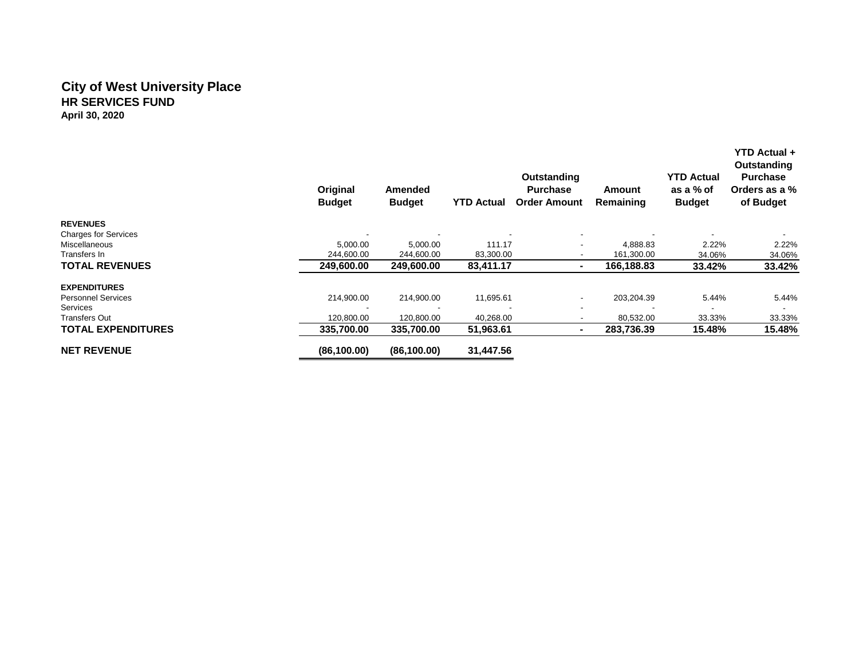### **City of West University Place HR SERVICES FUND April 30, 2020**

|                             | Original<br><b>Budget</b> | Amended<br><b>Budget</b> | <b>YTD Actual</b> | Outstanding<br><b>Purchase</b><br><b>Order Amount</b> | Amount<br>Remaining | <b>YTD Actual</b><br>as a % of<br><b>Budget</b> | YTD Actual +<br>Outstanding<br><b>Purchase</b><br>Orders as a %<br>of Budget |
|-----------------------------|---------------------------|--------------------------|-------------------|-------------------------------------------------------|---------------------|-------------------------------------------------|------------------------------------------------------------------------------|
| <b>REVENUES</b>             |                           |                          |                   |                                                       |                     |                                                 |                                                                              |
| <b>Charges for Services</b> |                           |                          |                   | $\overline{\phantom{a}}$                              |                     |                                                 |                                                                              |
| Miscellaneous               | 5,000.00                  | 5,000.00                 | 111.17            | -                                                     | 4,888.83            | 2.22%                                           | 2.22%                                                                        |
| Transfers In                | 244.600.00                | 244,600.00               | 83,300.00         | $\overline{\phantom{a}}$                              | 161,300.00          | 34.06%                                          | 34.06%                                                                       |
| <b>TOTAL REVENUES</b>       | 249,600.00                | 249,600.00               | 83,411.17         | $\blacksquare$                                        | 166,188.83          | 33.42%                                          | 33.42%                                                                       |
| <b>EXPENDITURES</b>         |                           |                          |                   |                                                       |                     |                                                 |                                                                              |
| <b>Personnel Services</b>   | 214,900.00                | 214,900.00               | 11,695.61         | $\overline{\phantom{a}}$                              | 203,204.39          | 5.44%                                           | 5.44%                                                                        |
| Services                    |                           |                          |                   | $\overline{\phantom{a}}$                              |                     |                                                 |                                                                              |
| Transfers Out               | 120,800.00                | 120,800.00               | 40,268.00         |                                                       | 80,532.00           | 33.33%                                          | 33.33%                                                                       |
| <b>TOTAL EXPENDITURES</b>   | 335,700.00                | 335,700.00               | 51,963.61         | $\blacksquare$                                        | 283,736.39          | 15.48%                                          | 15.48%                                                                       |
| <b>NET REVENUE</b>          | (86, 100.00)              | (86, 100.00)             | 31,447.56         |                                                       |                     |                                                 |                                                                              |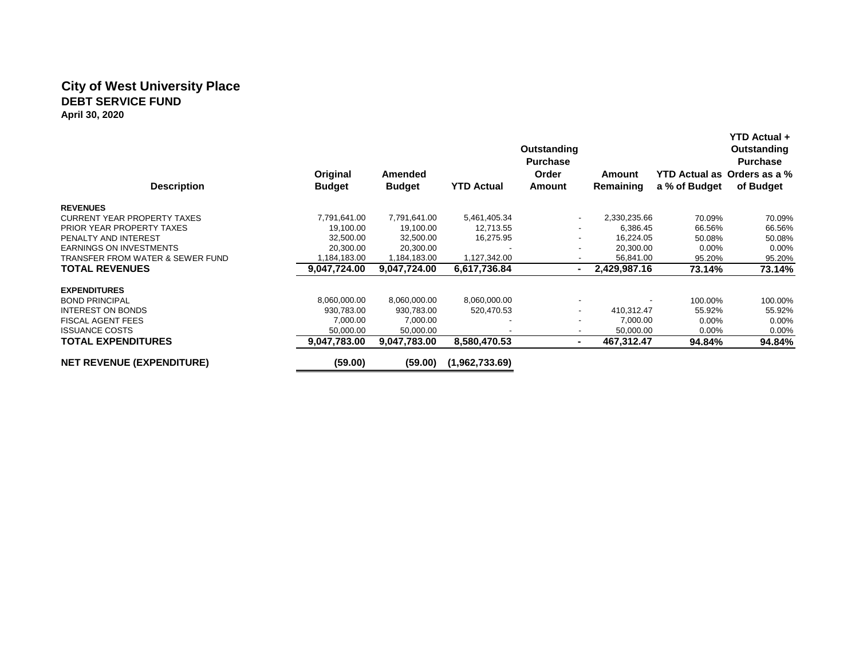### **City of West University Place DEBT SERVICE FUND April 30, 2020**

|                                             | Original      | <b>Amended</b> |                   | Outstanding<br><b>Purchase</b><br>Order | Amount       | YTD Actual as Orders as a % | <b>YTD Actual +</b><br>Outstanding<br><b>Purchase</b> |
|---------------------------------------------|---------------|----------------|-------------------|-----------------------------------------|--------------|-----------------------------|-------------------------------------------------------|
| <b>Description</b>                          | <b>Budget</b> | <b>Budget</b>  | <b>YTD Actual</b> | Amount                                  | Remaining    | a % of Budget               | of Budget                                             |
| <b>REVENUES</b>                             |               |                |                   |                                         |              |                             |                                                       |
| <b>CURRENT YEAR PROPERTY TAXES</b>          | 7,791,641.00  | 7,791,641.00   | 5,461,405.34      |                                         | 2,330,235.66 | 70.09%                      | 70.09%                                                |
| PRIOR YEAR PROPERTY TAXES                   | 19,100.00     | 19,100.00      | 12,713.55         |                                         | 6,386.45     | 66.56%                      | 66.56%                                                |
| PENALTY AND INTEREST                        | 32,500.00     | 32,500.00      | 16,275.95         |                                         | 16,224.05    | 50.08%                      | 50.08%                                                |
| <b>EARNINGS ON INVESTMENTS</b>              | 20,300.00     | 20,300.00      |                   |                                         | 20,300.00    | $0.00\%$                    | $0.00\%$                                              |
| <b>TRANSFER FROM WATER &amp; SEWER FUND</b> | 1,184,183.00  | 1,184,183.00   | 1,127,342.00      |                                         | 56,841.00    | 95.20%                      | 95.20%                                                |
| <b>TOTAL REVENUES</b>                       | 9,047,724.00  | 9,047,724.00   | 6,617,736.84      |                                         | 2,429,987.16 | 73.14%                      | 73.14%                                                |
| <b>EXPENDITURES</b>                         |               |                |                   |                                         |              |                             |                                                       |
| <b>BOND PRINCIPAL</b>                       | 8,060,000.00  | 8,060,000.00   | 8,060,000.00      |                                         |              | 100.00%                     | 100.00%                                               |
| <b>INTEREST ON BONDS</b>                    | 930,783.00    | 930,783.00     | 520,470.53        |                                         | 410,312.47   | 55.92%                      | 55.92%                                                |
| <b>FISCAL AGENT FEES</b>                    | 7,000.00      | 7,000.00       |                   |                                         | 7,000.00     | $0.00\%$                    | 0.00%                                                 |
| <b>ISSUANCE COSTS</b>                       | 50,000.00     | 50,000.00      |                   |                                         | 50,000.00    | $0.00\%$                    | 0.00%                                                 |
| <b>TOTAL EXPENDITURES</b>                   | 9.047.783.00  | 9.047.783.00   | 8,580,470.53      | $\overline{\phantom{a}}$                | 467,312.47   | 94.84%                      | 94.84%                                                |
| <b>NET REVENUE (EXPENDITURE)</b>            | (59.00)       | (59.00)        | (1,962,733.69)    |                                         |              |                             |                                                       |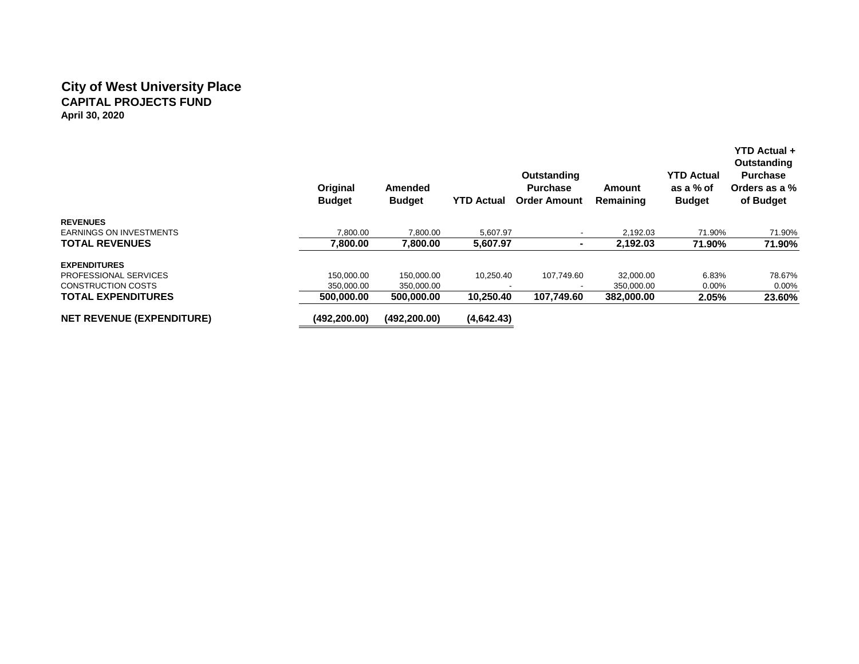### **City of West University Place CAPITAL PROJECTS FUND April 30, 2020**

|                                  | Original<br><b>Budget</b> | <b>Amended</b><br><b>Budget</b> | <b>YTD Actual</b> | Outstanding<br><b>Purchase</b><br><b>Order Amount</b> | Amount<br>Remaining | <b>YTD Actual</b><br>as a % of<br><b>Budget</b> | <b>YTD Actual +</b><br>Outstanding<br><b>Purchase</b><br>Orders as a %<br>of Budget |
|----------------------------------|---------------------------|---------------------------------|-------------------|-------------------------------------------------------|---------------------|-------------------------------------------------|-------------------------------------------------------------------------------------|
| <b>REVENUES</b>                  |                           |                                 |                   |                                                       |                     |                                                 |                                                                                     |
| <b>EARNINGS ON INVESTMENTS</b>   | 7.800.00                  | 7,800.00                        | 5,607.97          |                                                       | 2.192.03            | 71.90%                                          | 71.90%                                                                              |
| <b>TOTAL REVENUES</b>            | 7,800.00                  | 7,800.00                        | 5,607.97          | ۰                                                     | 2,192.03            | 71.90%                                          | 71.90%                                                                              |
| <b>EXPENDITURES</b>              |                           |                                 |                   |                                                       |                     |                                                 |                                                                                     |
| PROFESSIONAL SERVICES            | 150,000.00                | 150.000.00                      | 10,250.40         | 107.749.60                                            | 32,000.00           | 6.83%                                           | 78.67%                                                                              |
| <b>CONSTRUCTION COSTS</b>        | 350.000.00                | 350,000.00                      |                   |                                                       | 350,000.00          | $0.00\%$                                        | 0.00%                                                                               |
| <b>TOTAL EXPENDITURES</b>        | 500.000.00                | 500.000.00                      | 10.250.40         | 107.749.60                                            | 382.000.00          | 2.05%                                           | 23.60%                                                                              |
| <b>NET REVENUE (EXPENDITURE)</b> | (492.200.00)              | (492, 200.00)                   | (4,642.43)        |                                                       |                     |                                                 |                                                                                     |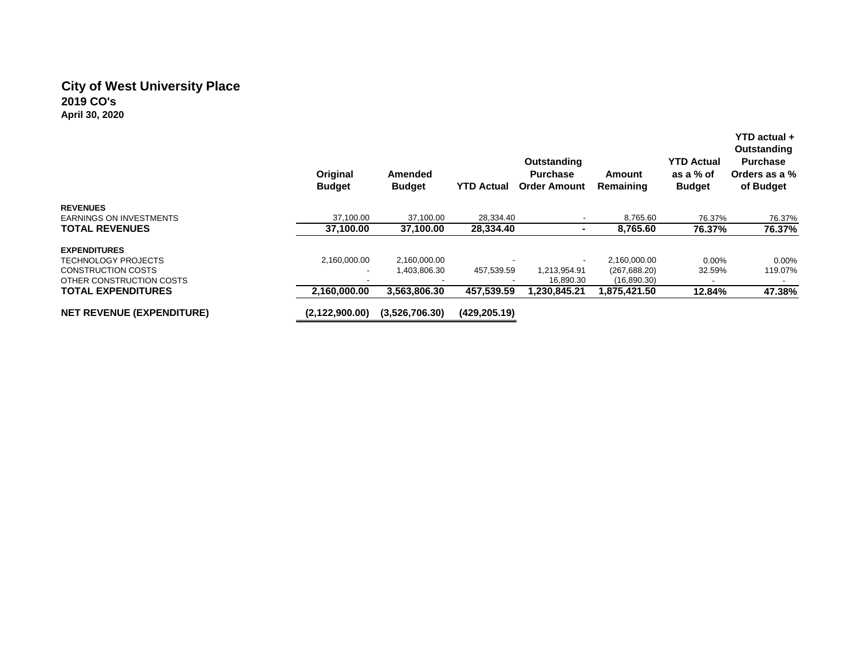# **City of West University Place 2019 CO's April 30, 2020**

|                                  | Original<br><b>Budget</b> | Amended<br><b>Budget</b> | <b>YTD Actual</b> | Outstanding<br><b>Purchase</b><br><b>Order Amount</b> | Amount<br>Remaining | <b>YTD Actual</b><br>as a % of<br><b>Budget</b> | YTD actual +<br>Outstanding<br><b>Purchase</b><br>Orders as a %<br>of Budget |
|----------------------------------|---------------------------|--------------------------|-------------------|-------------------------------------------------------|---------------------|-------------------------------------------------|------------------------------------------------------------------------------|
| <b>REVENUES</b>                  |                           |                          |                   |                                                       |                     |                                                 |                                                                              |
| <b>EARNINGS ON INVESTMENTS</b>   | 37.100.00                 | 37.100.00                | 28.334.40         |                                                       | 8.765.60            | 76.37%                                          | 76.37%                                                                       |
| <b>TOTAL REVENUES</b>            | 37,100.00                 | 37,100.00                | 28,334.40         |                                                       | 8,765.60            | 76.37%                                          | 76.37%                                                                       |
| <b>EXPENDITURES</b>              |                           |                          |                   |                                                       |                     |                                                 |                                                                              |
| <b>TECHNOLOGY PROJECTS</b>       | 2,160,000.00              | 2,160,000.00             |                   |                                                       | 2,160,000.00        | $0.00\%$                                        | $0.00\%$                                                                     |
| <b>CONSTRUCTION COSTS</b>        | $\overline{\phantom{a}}$  | 1,403,806.30             | 457,539.59        | 1.213.954.91                                          | (267, 688.20)       | 32.59%                                          | 119.07%                                                                      |
| OTHER CONSTRUCTION COSTS         | $\overline{\phantom{a}}$  |                          |                   | 16,890.30                                             | (16,890.30)         |                                                 |                                                                              |
| <b>TOTAL EXPENDITURES</b>        | 2,160,000.00              | 3,563,806.30             | 457.539.59        | 1,230,845.21                                          | 1,875,421.50        | 12.84%                                          | 47.38%                                                                       |
| <b>NET REVENUE (EXPENDITURE)</b> | (2.122.900.00)            | (3.526.706.30)           | (429.205.19)      |                                                       |                     |                                                 |                                                                              |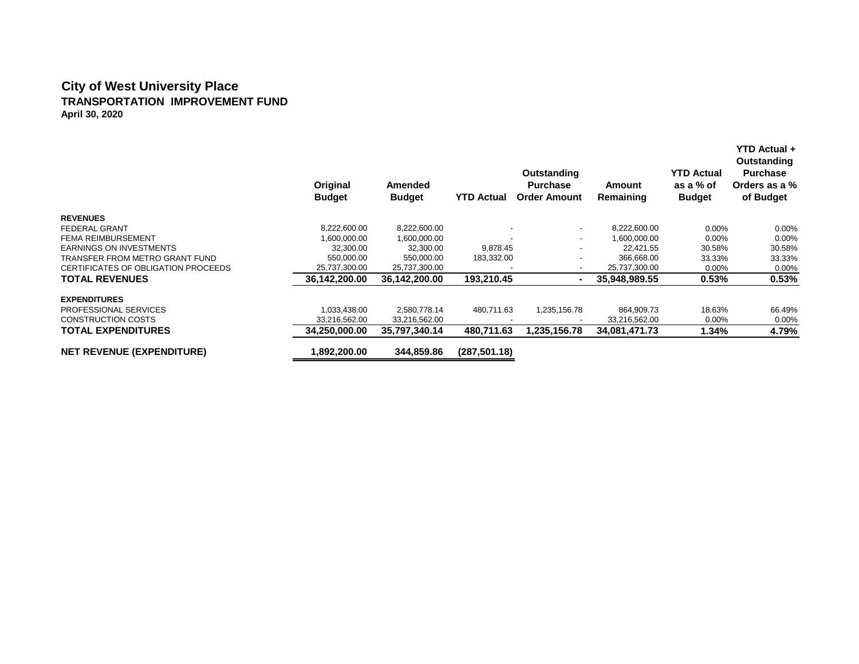#### **City of West University Place TRANSPORTATION IMPROVEMENT FUND April 30, 2020**

|                                     | Original<br><b>Budget</b> | Amended<br><b>Budget</b> | <b>YTD Actual</b> | Outstanding<br><b>Purchase</b><br><b>Order Amount</b> | Amount<br>Remaining | <b>YTD Actual</b><br>as a % of<br><b>Budget</b> | <b>YTD Actual +</b><br>Outstanding<br><b>Purchase</b><br>Orders as a %<br>of Budget |
|-------------------------------------|---------------------------|--------------------------|-------------------|-------------------------------------------------------|---------------------|-------------------------------------------------|-------------------------------------------------------------------------------------|
| <b>REVENUES</b>                     |                           |                          |                   |                                                       |                     |                                                 |                                                                                     |
| <b>FEDERAL GRANT</b>                | 8,222,600.00              | 8,222,600.00             |                   | $\overline{\phantom{a}}$                              | 8,222,600.00        | $0.00\%$                                        | $0.00\%$                                                                            |
| <b>FEMA REIMBURSEMENT</b>           | 1,600,000.00              | 1,600,000.00             |                   | $\overline{\phantom{a}}$                              | 1.600.000.00        | 0.00%                                           | $0.00\%$                                                                            |
| <b>EARNINGS ON INVESTMENTS</b>      | 32,300.00                 | 32,300.00                | 9,878.45          | $\overline{\phantom{a}}$                              | 22,421.55           | 30.58%                                          | 30.58%                                                                              |
| TRANSFER FROM METRO GRANT FUND      | 550.000.00                | 550,000.00               | 183,332.00        | -                                                     | 366,668.00          | 33.33%                                          | 33.33%                                                                              |
| CERTIFICATES OF OBLIGATION PROCEEDS | 25,737,300.00             | 25,737,300.00            |                   | $\overline{\phantom{a}}$                              | 25,737,300.00       | 0.00%                                           | 0.00%                                                                               |
| <b>TOTAL REVENUES</b>               | 36.142.200.00             | 36,142,200.00            | 193,210.45        | $\blacksquare$                                        | 35.948.989.55       | 0.53%                                           | 0.53%                                                                               |
| <b>EXPENDITURES</b>                 |                           |                          |                   |                                                       |                     |                                                 |                                                                                     |
| <b>PROFESSIONAL SERVICES</b>        | 1,033,438.00              | 2,580,778.14             | 480,711.63        | 1,235,156.78                                          | 864,909.73          | 18.63%                                          | 66.49%                                                                              |
| <b>CONSTRUCTION COSTS</b>           | 33,216,562.00             | 33,216,562.00            |                   |                                                       | 33,216,562.00       | 0.00%                                           | 0.00%                                                                               |
| <b>TOTAL EXPENDITURES</b>           | 34,250,000.00             | 35,797,340.14            | 480,711.63        | 1,235,156.78                                          | 34,081,471.73       | 1.34%                                           | 4.79%                                                                               |
| <b>NET REVENUE (EXPENDITURE)</b>    | 1,892,200.00              | 344,859.86               | (287, 501.18)     |                                                       |                     |                                                 |                                                                                     |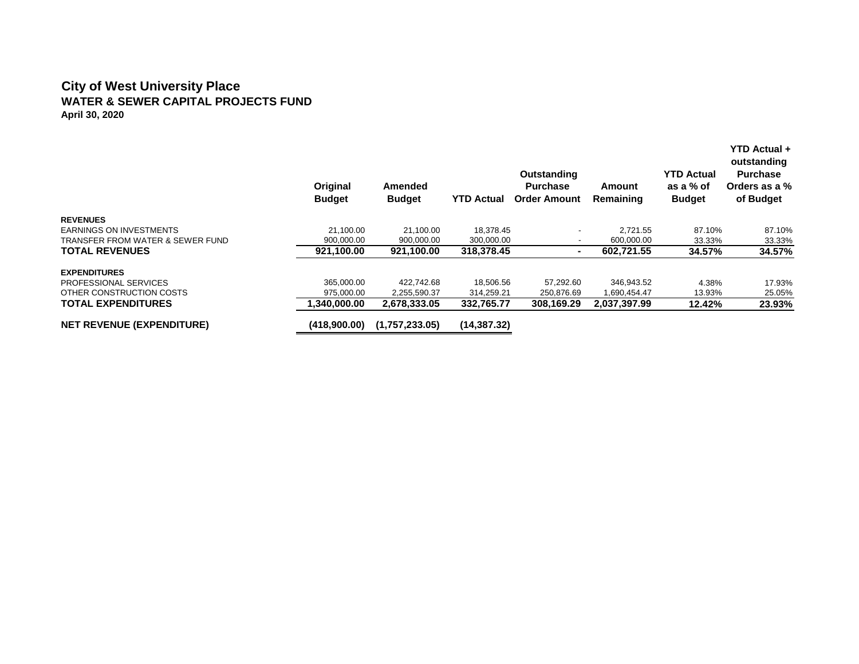#### **City of West University Place WATER & SEWER CAPITAL PROJECTS FUND April 30, 2020**

|                                  | Original<br><b>Budget</b> | Amended<br><b>Budget</b> | <b>YTD Actual</b> | Outstanding<br><b>Purchase</b><br><b>Order Amount</b> | Amount<br>Remaining | <b>YTD Actual</b><br>as a % of<br><b>Budget</b> | YTD Actual +<br>outstanding<br><b>Purchase</b><br>Orders as a %<br>of Budget |
|----------------------------------|---------------------------|--------------------------|-------------------|-------------------------------------------------------|---------------------|-------------------------------------------------|------------------------------------------------------------------------------|
| <b>REVENUES</b>                  |                           |                          |                   |                                                       |                     |                                                 |                                                                              |
| <b>EARNINGS ON INVESTMENTS</b>   | 21.100.00                 | 21.100.00                | 18.378.45         |                                                       | 2.721.55            | 87.10%                                          | 87.10%                                                                       |
| TRANSFER FROM WATER & SEWER FUND | 900.000.00                | 900,000.00               | 300,000.00        | $\overline{\phantom{0}}$                              | 600,000.00          | 33.33%                                          | 33.33%                                                                       |
| <b>TOTAL REVENUES</b>            | 921,100.00                | 921,100.00               | 318,378.45        | $\blacksquare$                                        | 602,721.55          | 34.57%                                          | 34.57%                                                                       |
| <b>EXPENDITURES</b>              |                           |                          |                   |                                                       |                     |                                                 |                                                                              |
| PROFESSIONAL SERVICES            | 365.000.00                | 422.742.68               | 18,506.56         | 57.292.60                                             | 346.943.52          | 4.38%                                           | 17.93%                                                                       |
| OTHER CONSTRUCTION COSTS         | 975,000.00                | 2,255,590.37             | 314,259.21        | 250,876.69                                            | 1,690,454.47        | 13.93%                                          | 25.05%                                                                       |
| <b>TOTAL EXPENDITURES</b>        | ,340,000.00               | 2,678,333.05             | 332,765.77        | 308.169.29                                            | 2,037,397.99        | 12.42%                                          | 23.93%                                                                       |
| <b>NET REVENUE (EXPENDITURE)</b> | (418,900.00)              | (1,757,233.05)           | (14, 387, 32)     |                                                       |                     |                                                 |                                                                              |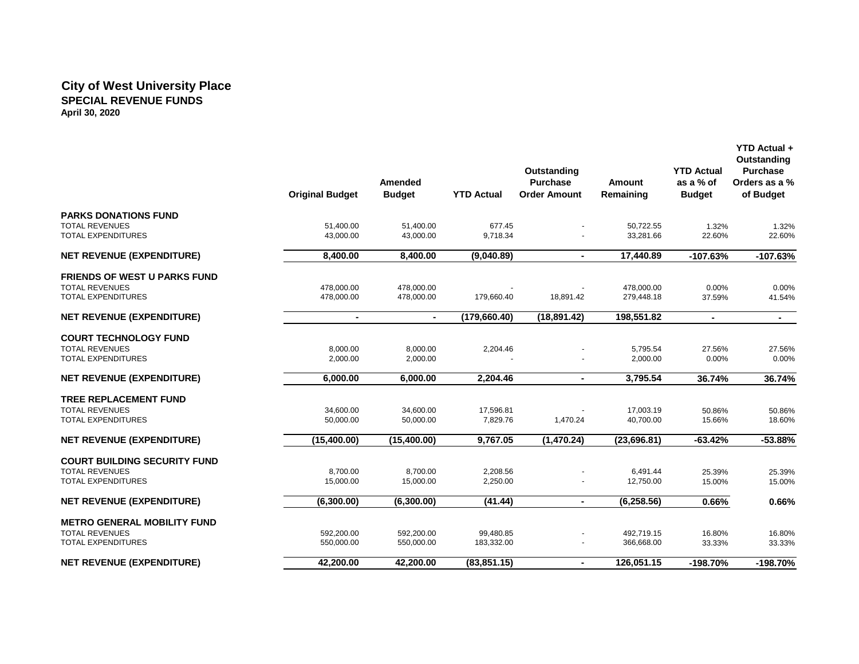### **City of West University Place SPECIAL REVENUE FUNDS April 30, 2020**

|                                                                                           | <b>Original Budget</b>   | Amended<br><b>Budget</b> | <b>YTD Actual</b>       | Outstanding<br><b>Purchase</b><br><b>Order Amount</b> | <b>Amount</b><br>Remaining | <b>YTD Actual</b><br>as a % of<br><b>Budget</b> | Outstanding<br><b>Purchase</b><br>Orders as a %<br>of Budget |
|-------------------------------------------------------------------------------------------|--------------------------|--------------------------|-------------------------|-------------------------------------------------------|----------------------------|-------------------------------------------------|--------------------------------------------------------------|
| <b>PARKS DONATIONS FUND</b><br><b>TOTAL REVENUES</b><br><b>TOTAL EXPENDITURES</b>         | 51,400.00<br>43.000.00   | 51,400.00<br>43.000.00   | 677.45<br>9,718.34      |                                                       | 50,722.55<br>33,281.66     | 1.32%<br>22.60%                                 | 1.32%<br>22.60%                                              |
| <b>NET REVENUE (EXPENDITURE)</b>                                                          | 8,400.00                 | 8,400.00                 | (9,040.89)              | $\blacksquare$                                        | 17,440.89                  | $-107.63%$                                      | $-107.63%$                                                   |
| <b>FRIENDS OF WEST U PARKS FUND</b><br><b>TOTAL REVENUES</b><br><b>TOTAL EXPENDITURES</b> | 478,000.00<br>478,000.00 | 478,000.00<br>478,000.00 | 179,660.40              | 18,891.42                                             | 478,000.00<br>279,448.18   | 0.00%<br>37.59%                                 | 0.00%<br>41.54%                                              |
| <b>NET REVENUE (EXPENDITURE)</b>                                                          | $\blacksquare$           | $\blacksquare$           | (179, 660.40)           | (18, 891.42)                                          | 198,551.82                 | $\blacksquare$                                  | $\sim$                                                       |
| <b>COURT TECHNOLOGY FUND</b><br><b>TOTAL REVENUES</b><br><b>TOTAL EXPENDITURES</b>        | 8,000.00<br>2,000.00     | 8.000.00<br>2,000.00     | 2,204.46                |                                                       | 5,795.54<br>2,000.00       | 27.56%<br>0.00%                                 | 27.56%<br>0.00%                                              |
| <b>NET REVENUE (EXPENDITURE)</b>                                                          | 6.000.00                 | 6.000.00                 | 2,204.46                | $\blacksquare$                                        | 3,795.54                   | 36.74%                                          | 36.74%                                                       |
| <b>TREE REPLACEMENT FUND</b><br><b>TOTAL REVENUES</b><br>TOTAL EXPENDITURES               | 34,600.00<br>50,000.00   | 34,600.00<br>50,000.00   | 17,596.81<br>7,829.76   | 1,470.24                                              | 17,003.19<br>40,700.00     | 50.86%<br>15.66%                                | 50.86%<br>18.60%                                             |
| <b>NET REVENUE (EXPENDITURE)</b>                                                          | (15,400.00)              | (15,400.00)              | 9,767.05                | (1,470.24)                                            | (23, 696.81)               | $-63.42%$                                       | $-53.88%$                                                    |
| <b>COURT BUILDING SECURITY FUND</b><br><b>TOTAL REVENUES</b><br><b>TOTAL EXPENDITURES</b> | 8,700.00<br>15,000.00    | 8,700.00<br>15,000.00    | 2,208.56<br>2,250.00    |                                                       | 6,491.44<br>12,750.00      | 25.39%<br>15.00%                                | 25.39%<br>15.00%                                             |
| <b>NET REVENUE (EXPENDITURE)</b>                                                          | (6,300.00)               | (6,300.00)               | (41.44)                 | $\blacksquare$                                        | (6, 258.56)                | 0.66%                                           | 0.66%                                                        |
| <b>METRO GENERAL MOBILITY FUND</b><br><b>TOTAL REVENUES</b><br>TOTAL EXPENDITURES         | 592,200.00<br>550,000.00 | 592,200.00<br>550,000.00 | 99,480.85<br>183,332.00 |                                                       | 492,719.15<br>366,668.00   | 16.80%<br>33.33%                                | 16.80%<br>33.33%                                             |
| <b>NET REVENUE (EXPENDITURE)</b>                                                          | 42,200.00                | 42,200.00                | (83, 851.15)            | $\blacksquare$                                        | 126,051.15                 | -198.70%                                        | -198.70%                                                     |

 **YTD Actual +**